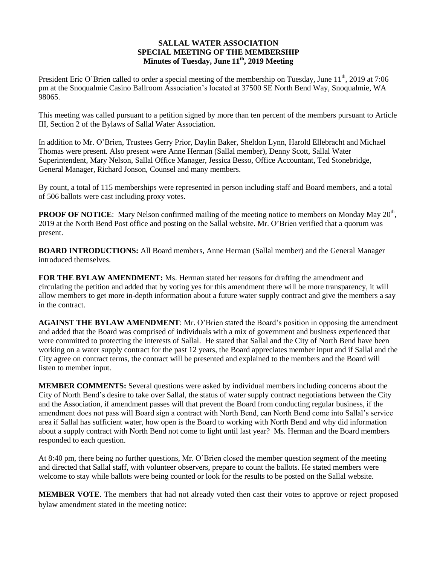## **SALLAL WATER ASSOCIATION SPECIAL MEETING OF THE MEMBERSHIP Minutes of Tuesday, June 11th, 2019 Meeting**

President Eric O'Brien called to order a special meeting of the membership on Tuesday, June  $11^{th}$ , 2019 at 7:06 pm at the Snoqualmie Casino Ballroom Association's located at 37500 SE North Bend Way, Snoqualmie, WA 98065.

This meeting was called pursuant to a petition signed by more than ten percent of the members pursuant to Article III, Section 2 of the Bylaws of Sallal Water Association.

In addition to Mr. O'Brien, Trustees Gerry Prior, Daylin Baker, Sheldon Lynn, Harold Ellebracht and Michael Thomas were present. Also present were Anne Herman (Sallal member), Denny Scott, Sallal Water Superintendent, Mary Nelson, Sallal Office Manager, Jessica Besso, Office Accountant, Ted Stonebridge, General Manager, Richard Jonson, Counsel and many members.

By count, a total of 115 memberships were represented in person including staff and Board members, and a total of 506 ballots were cast including proxy votes.

**PROOF OF NOTICE**: Mary Nelson confirmed mailing of the meeting notice to members on Monday May 20<sup>th</sup>, 2019 at the North Bend Post office and posting on the Sallal website. Mr. O'Brien verified that a quorum was present.

**BOARD INTRODUCTIONS:** All Board members, Anne Herman (Sallal member) and the General Manager introduced themselves.

**FOR THE BYLAW AMENDMENT:** Ms. Herman stated her reasons for drafting the amendment and circulating the petition and added that by voting yes for this amendment there will be more transparency, it will allow members to get more in-depth information about a future water supply contract and give the members a say in the contract.

**AGAINST THE BYLAW AMENDMENT**: Mr. O'Brien stated the Board's position in opposing the amendment and added that the Board was comprised of individuals with a mix of government and business experienced that were committed to protecting the interests of Sallal. He stated that Sallal and the City of North Bend have been working on a water supply contract for the past 12 years, the Board appreciates member input and if Sallal and the City agree on contract terms, the contract will be presented and explained to the members and the Board will listen to member input.

**MEMBER COMMENTS:** Several questions were asked by individual members including concerns about the City of North Bend's desire to take over Sallal, the status of water supply contract negotiations between the City and the Association, if amendment passes will that prevent the Board from conducting regular business, if the amendment does not pass will Board sign a contract with North Bend, can North Bend come into Sallal's service area if Sallal has sufficient water, how open is the Board to working with North Bend and why did information about a supply contract with North Bend not come to light until last year? Ms. Herman and the Board members responded to each question.

At 8:40 pm, there being no further questions, Mr. O'Brien closed the member question segment of the meeting and directed that Sallal staff, with volunteer observers, prepare to count the ballots. He stated members were welcome to stay while ballots were being counted or look for the results to be posted on the Sallal website.

**MEMBER VOTE**. The members that had not already voted then cast their votes to approve or reject proposed bylaw amendment stated in the meeting notice: